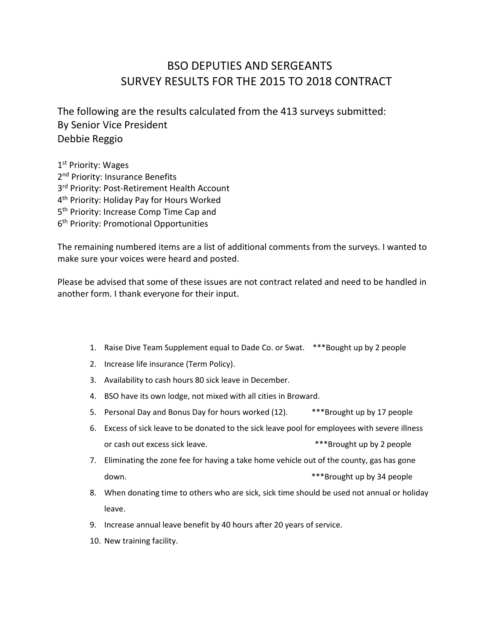## BSO DEPUTIES AND SERGEANTS SURVEY RESULTS FOR THE 2015 TO 2018 CONTRACT

The following are the results calculated from the 413 surveys submitted: By Senior Vice President Debbie Reggio

1<sup>st</sup> Priority: Wages 2<sup>nd</sup> Priority: Insurance Benefits 3<sup>rd</sup> Priority: Post-Retirement Health Account 4th Priority: Holiday Pay for Hours Worked 5<sup>th</sup> Priority: Increase Comp Time Cap and 6th Priority: Promotional Opportunities

The remaining numbered items are a list of additional comments from the surveys. I wanted to make sure your voices were heard and posted.

Please be advised that some of these issues are not contract related and need to be handled in another form. I thank everyone for their input.

- 1. Raise Dive Team Supplement equal to Dade Co. or Swat. \*\*\*Bought up by 2 people
- 2. Increase life insurance (Term Policy).
- 3. Availability to cash hours 80 sick leave in December.
- 4. BSO have its own lodge, not mixed with all cities in Broward.
- 5. Personal Day and Bonus Day for hours worked (12). \*\*\*Brought up by 17 people
- 6. Excess of sick leave to be donated to the sick leave pool for employees with severe illness or cash out excess sick leave.  $***$ Brought up by 2 people
- 7. Eliminating the zone fee for having a take home vehicle out of the county, gas has gone down. **\*\*\*Brought up by 34 people**
- 8. When donating time to others who are sick, sick time should be used not annual or holiday leave.
- 9. Increase annual leave benefit by 40 hours after 20 years of service.
- 10. New training facility.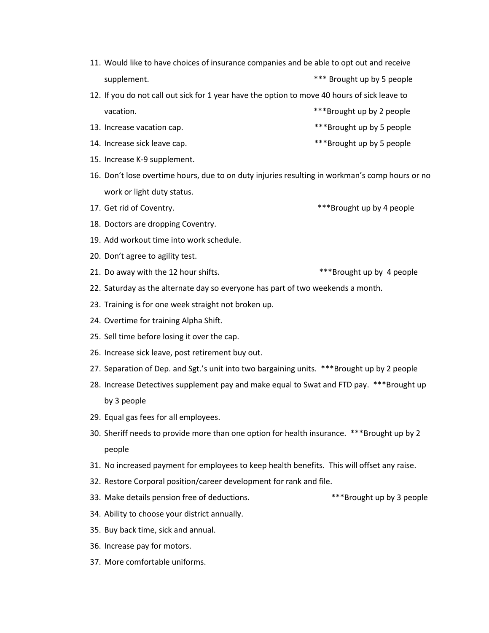- 11. Would like to have choices of insurance companies and be able to opt out and receive supplement. The supplement of the supplement of the supplement of the state of the state of the state of the state of the state of the state of the state of the state of the state of the state of the state of the state of
- 12. If you do not call out sick for 1 year have the option to move 40 hours of sick leave to vacation. **\*\*\*Brought up by 2 people**
- 13. Increase vacation cap. The same state of  $***$ Brought up by 5 people
- 14. Increase sick leave cap. The same state of the state  $***$ Brought up by 5 people
- 15. Increase K-9 supplement.
- 16. Don't lose overtime hours, due to on duty injuries resulting in workman's comp hours or no work or light duty status.
- 17. Get rid of Coventry. The same state of the state of the state of the state of the state of the state of the state of the state of the state of the state of the state of the state of the state of the state of the state
- 18. Doctors are dropping Coventry.
- 19. Add workout time into work schedule.
- 20. Don't agree to agility test.
- 21. Do away with the 12 hour shifts.  $***$ Brought up by 4 people
- 22. Saturday as the alternate day so everyone has part of two weekends a month.
- 23. Training is for one week straight not broken up.
- 24. Overtime for training Alpha Shift.
- 25. Sell time before losing it over the cap.
- 26. Increase sick leave, post retirement buy out.
- 27. Separation of Dep. and Sgt.'s unit into two bargaining units. \*\*\*Brought up by 2 people
- 28. Increase Detectives supplement pay and make equal to Swat and FTD pay. \*\*\*Brought up by 3 people
- 29. Equal gas fees for all employees.
- 30. Sheriff needs to provide more than one option for health insurance. \*\*\*Brought up by 2 people
- 31. No increased payment for employees to keep health benefits. This will offset any raise.
- 32. Restore Corporal position/career development for rank and file.
- 33. Make details pension free of deductions. \*\*\*Brought up by 3 people
- 34. Ability to choose your district annually.
- 35. Buy back time, sick and annual.
- 36. Increase pay for motors.
- 37. More comfortable uniforms.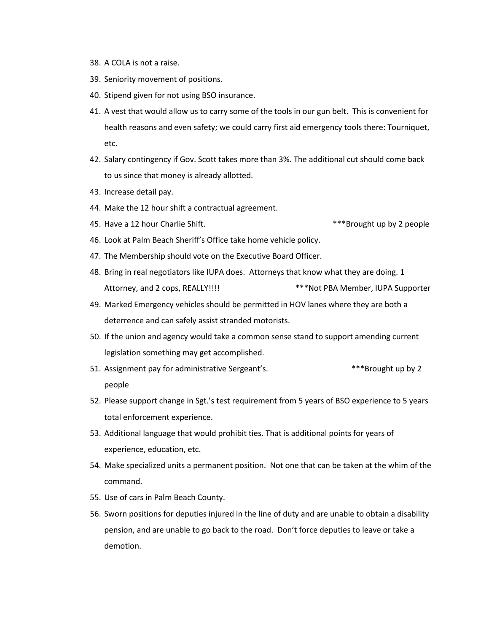- 38. A COLA is not a raise.
- 39. Seniority movement of positions.
- 40. Stipend given for not using BSO insurance.
- 41. A vest that would allow us to carry some of the tools in our gun belt. This is convenient for health reasons and even safety; we could carry first aid emergency tools there: Tourniquet, etc.
- 42. Salary contingency if Gov. Scott takes more than 3%. The additional cut should come back to us since that money is already allotted.
- 43. Increase detail pay.
- 44. Make the 12 hour shift a contractual agreement.
- 45. Have a 12 hour Charlie Shift. The same state of the state of  $***$ Brought up by 2 people
- 46. Look at Palm Beach Sheriff's Office take home vehicle policy.
- 47. The Membership should vote on the Executive Board Officer.
- 48. Bring in real negotiators like IUPA does. Attorneys that know what they are doing. 1 Attorney, and 2 cops, REALLY!!!! \*\*\*\*Not PBA Member, IUPA Supporter
- 49. Marked Emergency vehicles should be permitted in HOV lanes where they are both a deterrence and can safely assist stranded motorists.
- 50. If the union and agency would take a common sense stand to support amending current legislation something may get accomplished.
- 51. Assignment pay for administrative Sergeant's. \*\*\*\* \*\*\* Brought up by 2 people
- 52. Please support change in Sgt.'s test requirement from 5 years of BSO experience to 5 years total enforcement experience.
- 53. Additional language that would prohibit ties. That is additional points for years of experience, education, etc.
- 54. Make specialized units a permanent position. Not one that can be taken at the whim of the command.
- 55. Use of cars in Palm Beach County.
- 56. Sworn positions for deputies injured in the line of duty and are unable to obtain a disability pension, and are unable to go back to the road. Don't force deputies to leave or take a demotion.